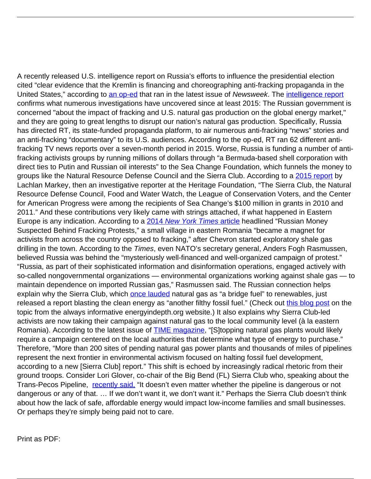A recently released U.S. intelligence report on Russia's efforts to influence the presidential election cited "clear evidence that the Kremlin is financing and choreographing anti-fracking propaganda in the United States," according to [an op-ed](http://www.newsweek.com/intelligence-putin-funding-anti-fracking-campaign-547873?utm_content=bufferaa77c&utm_medium=social&utm_source=twitter.com&utm_campaign=buffer) that ran in the latest issue of Newsweek. The *[intelligence report](https://www.intelligence.senate.gov/sites/default/files/documents/ICA_2017_01.pdf)* confirms what numerous investigations have uncovered since at least 2015: The Russian government is concerned "about the impact of fracking and U.S. natural gas production on the global energy market," and they are going to great lengths to disrupt our nation's natural gas production. Specifically, Russia has directed RT, its state-funded propaganda platform, to air numerous anti-fracking "news" stories and an anti-fracking "documentary" to its U.S. audiences. According to the op-ed, RT ran 62 different antifracking TV news reports over a seven-month period in 2015. Worse, Russia is funding a number of antifracking activists groups by running millions of dollars through "a Bermuda-based shell corporation with direct ties to Putin and Russian oil interests" to the Sea Change Foundation, which funnels the money to groups like the Natural Resource Defense Council and the Sierra Club. According to a [2015 report](http://freebeacon.com/issues/foreign-firm-funding-u-s-green-groups-tied-to-state-owned-russian-oil-company/) by Lachlan Markey, then an investigative reporter at the Heritage Foundation, "The Sierra Club, the Natural Resource Defense Council, Food and Water Watch, the League of Conservation Voters, and the Center for American Progress were among the recipients of Sea Change's \$100 million in grants in 2010 and 2011." And these contributions very likely came with strings attached, if what happened in Eastern Europe is any indication. According to a [2014](https://www.nytimes.com/2014/12/01/world/russian-money-suspected-behind-fracking-protests.html?_r=0) [New York Times](https://www.nytimes.com/2014/12/01/world/russian-money-suspected-behind-fracking-protests.html?_r=0) [article](https://www.nytimes.com/2014/12/01/world/russian-money-suspected-behind-fracking-protests.html?_r=0) headlined "Russian Money Suspected Behind Fracking Protests," a small village in eastern Romania "became a magnet for activists from across the country opposed to fracking," after Chevron started exploratory shale gas drilling in the town. According to the Times, even NATO's secretary general, Anders Fogh Rasmussen, believed Russia was behind the "mysteriously well-financed and well-organized campaign of protest." "Russia, as part of their sophisticated information and disinformation operations, engaged actively with so-called nongovernmental organizations — environmental organizations working against shale gas — to maintain dependence on imported Russian gas," Rasmussen said. The Russian connection helps explain why the Sierra Club, which [once lauded](https://energyindepth.org/national/sierra-clubs-latest-attack-on-natural-gas-fired-power-plants-is-wrong-because-science/) natural gas as "a bridge fuel" to renewables, just released a report blasting the clean energy as "another filthy fossil fuel." (Check out [this blog post](https://energyindepth.org/national/sierra-clubs-latest-attack-on-natural-gas-fired-power-plants-is-wrong-because-science/) on the topic from the always informative energyindepth.org website.) It also explains why Sierra Club-led activists are now taking their campaign against natural gas to the local community level (à la eastern Romania). According to the latest issue of **TIME** magazine, "[S]topping natural gas plants would likely require a campaign centered on the local authorities that determine what type of energy to purchase." Therefore, "More than 200 sites of pending natural gas power plants and thousands of miles of pipelines represent the next frontier in environmental activism focused on halting fossil fuel development, according to a new [Sierra Club] report." This shift is echoed by increasingly radical rhetoric from their ground troops. Consider Lori Glover, co-chair of the Big Bend (FL) Sierra Club who, speaking about the Trans-Pecos Pipeline, [recently said,](http://dailycaller.com/2017/01/25/enviro-admits-she-would-oppose-tx-pipeline-even-if-was-deemed-perfectly-safe/) "It doesn't even matter whether the pipeline is dangerous or not dangerous or any of that. … If we don't want it, we don't want it." Perhaps the Sierra Club doesn't think about how the lack of safe, affordable energy would impact low-income families and small businesses. Or perhaps they're simply being paid not to care.

Print as PDF: